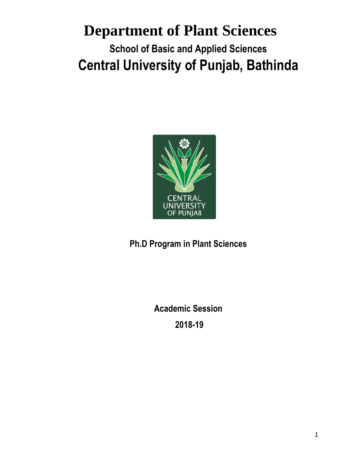# **Department of Plant Sciences School of Basic and Applied Sciences Central University of Punjab, Bathinda**



**Ph.D Program in Plant Sciences** 

**Academic Session 2018-19**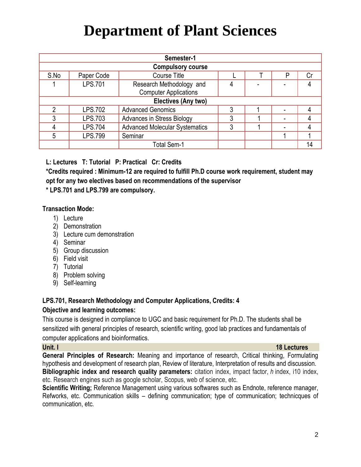| Semester-1               |                |                                       |   |  |   |    |  |
|--------------------------|----------------|---------------------------------------|---|--|---|----|--|
| <b>Compulsory course</b> |                |                                       |   |  |   |    |  |
| S.No                     | Paper Code     | Course Title                          |   |  | P | Сr |  |
|                          | LPS.701        | Research Methodology and              | 4 |  |   |    |  |
|                          |                | <b>Computer Applications</b>          |   |  |   |    |  |
| Electives (Any two)      |                |                                       |   |  |   |    |  |
| າ                        | LPS.702        | <b>Advanced Genomics</b>              | 3 |  |   | 4  |  |
|                          | LPS.703        | <b>Advances in Stress Biology</b>     | 3 |  |   |    |  |
|                          | <b>LPS.704</b> | <b>Advanced Molecular Systematics</b> | 3 |  |   |    |  |
| 5                        | <b>LPS.799</b> | Seminar                               |   |  |   |    |  |
|                          |                | <b>Total Sem-1</b>                    |   |  |   | 14 |  |

**L: Lectures T: Tutorial P: Practical Cr: Credits**

**\*Credits required : Minimum-12 are required to fulfill Ph.D course work requirement, student may opt for any two electives based on recommendations of the supervisor**

**\* LPS.701 and LPS.799 are compulsory.**

# **Transaction Mode:**

- 1) Lecture
- 2) Demonstration
- 3) Lecture cum demonstration
- 4) Seminar
- 5) Group discussion
- 6) Field visit
- 7) Tutorial
- 8) Problem solving
- 9) Self-learning

# **LPS.701, Research Methodology and Computer Applications, Credits: 4**

# **Objective and learning outcomes:**

This course is designed in compliance to UGC and basic requirement for Ph.D. The students shall be sensitized with general principles of research, scientific writing, good lab practices and fundamentals of computer applications and bioinformatics.

## **Unit. I 18 Lectures**

**General Principles of Research:** Meaning and importance of research, Critical thinking, Formulating hypothesis and development of research plan, Review of literature, Interpretation of results and discussion. **Bibliographic index and research quality parameters:** citation index, impact factor, *h* index, i10 index, etc. Research engines such as google scholar, Scopus, web of science, etc.

**Scientific Writing;** Reference Management using various softwares such as Endnote, reference manager, Refworks, etc. Communication skills – defining communication; type of communication; technicques of communication, etc.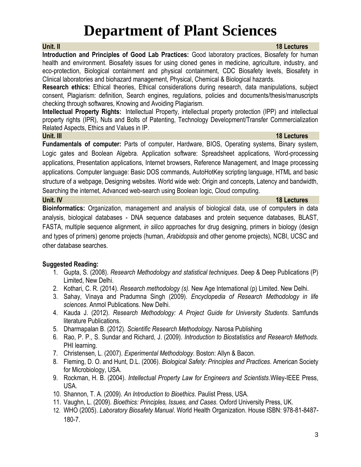**Introduction and Principles of Good Lab Practices:** Good laboratory practices, Biosafety for human health and environment. Biosafety issues for using cloned genes in medicine, agriculture, industry, and eco-protection, Biological containment and physical containment, CDC Biosafety levels, Biosafety in Clinical laboratories and biohazard management, Physical, Chemical & Biological hazards.

**Research ethics:** Ethical theories, Ethical considerations during research, data manipulations, subject consent, Plagiarism: definition, Search engines, regulations, policies and documents/thesis/manuscripts checking through softwares, Knowing and Avoiding Plagiarism.

**Intellectual Property Rights:** Intellectual Property, intellectual property protection (IPP) and intellectual property rights (IPR), Nuts and Bolts of Patenting, Technology Development/Transfer Commercialization Related Aspects, Ethics and Values in IP.

## **Unit. III 18 Lectures**

**Fundamentals of computer:** Parts of computer, Hardware, BIOS, Operating systems, Binary system, Logic gates and Boolean Algebra. Application software: Spreadsheet applications, Word-processing applications, Presentation applications, Internet browsers, Reference Management, and Image processing applications. Computer language: Basic DOS commands, AutoHotKey scripting language, HTML and basic structure of a webpage, Designing websites. World wide web: Origin and concepts, Latency and bandwidth, Searching the internet, Advanced web-search using Boolean logic, Cloud computing.

# **Unit. IV 18 Lectures**

**Bioinformatics:** Organization, management and analysis of biological data, use of computers in data analysis, biological databases - DNA sequence databases and protein sequence databases, BLAST, FASTA, multiple sequence alignment, *in silico* approaches for drug designing, primers in biology (design and types of primers) genome projects (human, *Arabidopsis* and other genome projects), NCBI, UCSC and other database searches.

# **Suggested Reading:**

- 1. Gupta, S. (2008). *Research Methodology and statistical techniques*. Deep & Deep Publications (P) Limited, New Delhi.
- 2. Kothari, C. R. (2014). *Research methodology (s).* New Age International (p) Limited. New Delhi.
- 3. Sahay, Vinaya and Pradumna Singh (2009). *Encyclopedia of Research Methodology in life sciences.* Anmol Publications. New Delhi.
- 4. Kauda J. (2012). *Research Methodology: A Project Guide for University Students*. Samfunds literature Publications.
- 5. Dharmapalan B. (2012). *Scientific Research Methodology*. Narosa Publishing
- 6. Rao, P. P., S. Sundar and Richard, J. (2009). *Introduction to Biostatistics and Research Methods.* PHI learning.
- 7. Christensen, L. (2007). *Experimental Methodology*. Boston: Allyn & Bacon.
- 8. Fleming, D. O. and Hunt, D.L. (2006). *Biological Safety: Principles and Practices*. American Society for Microbiology, USA.
- 9. Rockman, H. B. (2004). *Intellectual Property Law for Engineers and Scientists*.Wiley-IEEE Press, USA.
- 10. Shannon, T. A. (2009). *An Introduction to Bioethics*. Paulist Press, USA.
- 11. Vaughn, L. (2009). *Bioethics: Principles, Issues, and Cases.* Oxford University Press, UK.
- 12. WHO (2005). *Laboratory Biosafety Manual*. World Health Organization. House ISBN: 978-81-8487- 180-7.

## **Unit. II 18 Lectures**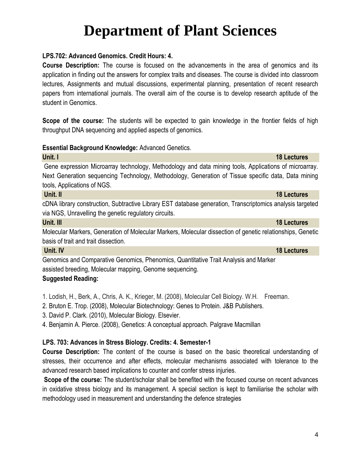# **LPS.702: Advanced Genomics. Credit Hours: 4.**

**Course Description:** The course is focused on the advancements in the area of genomics and its application in finding out the answers for complex traits and diseases. The course is divided into classroom lectures, Assignments and mutual discussions, experimental planning, presentation of recent research papers from international journals. The overall aim of the course is to develop research aptitude of the student in Genomics.

**Scope of the course:** The students will be expected to gain knowledge in the frontier fields of high throughput DNA sequencing and applied aspects of genomics.

## **Essential Background Knowledge:** Advanced Genetics.

**Unit. I 18 Lectures** Gene expression Microarray technology, Methodology and data mining tools, Applications of microarray. Next Generation sequencing Technology, Methodology, Generation of Tissue specific data, Data mining tools, Applications of NGS.

cDNA library construction, Subtractive Library EST database generation, Transcriptomics analysis targeted via NGS, Unravelling the genetic regulatory circuits.

## **Unit. III** 18 Lectures

Molecular Markers, Generation of Molecular Markers, Molecular dissection of genetic relationships, Genetic basis of trait and trait dissection.

Genomics and Comparative Genomics, Phenomics, Quantitative Trait Analysis and Marker assisted breeding, Molecular mapping, Genome sequencing.

# **Suggested Reading:**

1. Lodish, H., Berk, A., Chris, A. K., Krieger, M. (2008), Molecular Cell Biology. W.H. Freeman.

2. Bruton E. Trop. (2008), Molecular Biotechnology: Genes to Protein. J&B Publishers.

3. David P. Clark. (2010), Molecular Biology. Elsevier.

4. Benjamin A. Pierce. (2008), Genetics: A conceptual approach. Palgrave Macmillan

# **LPS. 703: Advances in Stress Biology. Credits: 4. Semester-1**

**Course Description:** The content of the course is based on the basic theoretical understanding of stresses, their occurrence and after effects, molecular mechanisms associated with tolerance to the advanced research based implications to counter and confer stress injuries.

**Scope of the course:** The student/scholar shall be benefited with the focused course on recent advances in oxidative stress biology and its management. A special section is kept to familiarise the scholar with methodology used in measurement and understanding the defence strategies

## **Unit. IV 18 Lectures**

# **Unit. II 18 Lectures**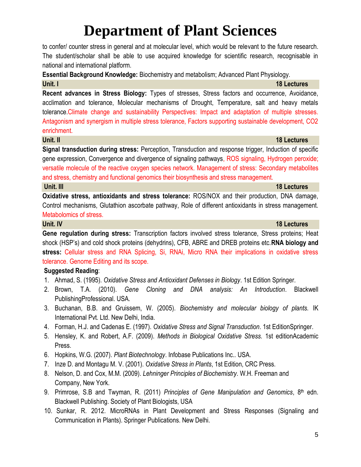to confer/ counter stress in general and at molecular level, which would be relevant to the future research. The student/scholar shall be able to use acquired knowledge for scientific research, recognisable in national and international platform.

**Essential Background Knowledge:** Biochemistry and metabolism; Advanced Plant Physiology.

**Unit. I 18 Lectures Recent advances in Stress Biology:** Types of stresses, Stress factors and occurrence, Avoidance, acclimation and tolerance, Molecular mechanisms of Drought, Temperature, salt and heavy metals tolerance.Climate change and sustainability Perspectives: Impact and adaptation of multiple stresses. Antagonism and synergism in multiple stress tolerance, Factors supporting sustainable development, CO2 enrichment.

**Unit. II 18 Lectures**

**Signal transduction during stress:** Perception, Transduction and response trigger, Induction of specific gene expression, Convergence and divergence of signaling pathways, ROS signaling, Hydrogen peroxide; versatile molecule of the reactive oxygen species network. Management of stress: Secondary metabolites and stress, chemistry and functional genomics their biosynthesis and stress management. **Unit. III 18 Lectures**

**Oxidative stress, antioxidants and stress tolerance:** ROS/NOX and their production, DNA damage, Control mechanisms, Glutathion ascorbate pathway, Role of different antioxidants in stress management. Metabolomics of stress.

**Gene regulation during stress:** Transcription factors involved stress tolerance, Stress proteins; Heat shock (HSP's) and cold shock proteins (dehydrins), CFB, ABRE and DREB proteins etc.**RNA biology and stress:** Cellular stress and RNA Splicing, Si, RNAi, Micro RNA their implications in oxidative stress tolerance. Genome Editing and its scope.

# **Suggested Reading**:

- 1. Ahmad, S. (1995). *Oxidative Stress and Antioxidant Defenses in Biology*. 1st Edition Springer.
- 2. Brown, T.A. (2010). *Gene Cloning and DNA analysis: An Introduction*. Blackwell PublishingProfessional. USA.
- 3. Buchanan, B.B. and Gruissem, W. (2005). *Biochemistry and molecular biology of plants.* IK International Pvt. Ltd. New Delhi, India.
- 4. Forman, H.J. and Cadenas E. (1997). *Oxidative Stress and Signal Transduction*. 1st EditionSpringer.
- 5. Hensley, K. and Robert, A.F. (2009). *Methods in Biological Oxidative Stress.* 1st editionAcademic Press.
- 6. Hopkins, W.G. (2007). *Plant Biotechnology*. Infobase Publications Inc.. USA.
- 7. Inze D. and Montagu M. V. (2001). *Oxidative Stress in Plants*, 1st Edition, CRC Press.
- 8. Nelson, D. and Cox, M.M. (2009). *Lehninger Principles of Biochemistry*. W.H. Freeman and Company, New York.
- 9. Primrose, S.B and Twyman, R. (2011) *Principles of Gene Manipulation and Genomics*, 8th edn. Blackwell Publishing. Society of Plant Biologists, USA
- 10. Sunkar, R. 2012. MicroRNAs in Plant Development and Stress Responses (Signaling and Communication in Plants). Springer Publications. New Delhi.

# **Unit. IV 18 Lectures**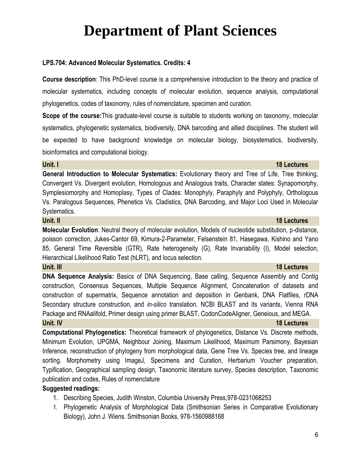## **LPS.704: Advanced Molecular Systematics. Credits: 4**

**Course description**: This PhD-level course is a comprehensive introduction to the theory and practice of molecular systematics, including concepts of molecular evolution, sequence analysis, computational phylogenetics, codes of taxonomy, rules of nomenclature, specimen and curation.

**Scope of the course:**This graduate-level course is suitable to students working on taxonomy, molecular systematics, phylogenetic systematics, biodiversity, DNA barcoding and allied disciplines. The student will be expected to have background knowledge on molecular biology, biosystematics, biodiversity, bioinformatics and computational biology.

### **Unit. I 18 Lectures**

**General Introduction to Molecular Systematics:** Evolutionary theory and Tree of Life, Tree thinking, Convergent Vs. Divergent evolution, Homologous and Analogous traits, Character states: Synapomorphy, Symplesiomorphy and Homoplasy, Types of Clades: Monophyly, Paraphyly and Polyphyly, Orthologous Vs. Paralogous Sequences, Phenetics Vs. Cladistics, DNA Barcoding, and Major Loci Used in Molecular Systematics.

### **Unit. II 18 Lectures**

**Molecular Evolution**: Neutral theory of molecular evolution, Models of nucleotide substitution, p-distance, poisson correction, Jukes-Cantor 69, Kimura-2-Parameter, Felsenstein 81, Hasegawa, Kishino and Yano 85, General Time Reversible (GTR), Rate heterogeneity (G), Rate Invariability (I), Model selection, Hierarchical Likelihood Ratio Test (hLRT), and locus selection.

**DNA Sequence Analysis:** Basics of DNA Sequencing, Base calling, Sequence Assembly and Contig construction, Consensus Sequences, Multiple Sequence Alignment, Concatenation of datasets and construction of supermatrix, Sequence annotation and deposition in Genbank, DNA Flatfiles, rDNA Secondary structure construction, and *in-silico* translation. NCBI BLAST and its variants, Vienna RNA Package and RNAalifold, Primer design using primer BLAST, CodonCodeAligner, Geneious, and MEGA. **Unit. IV 18 Lectures**

**Computational Phylogenetics:** Theoretical framework of phylogenetics, Distance Vs. Discrete methods, Minimum Evolution, UPGMA, Neighbour Joining, Maximum Likelihood, Maximum Parsimony, Bayesian Inference, reconstruction of phylogeny from morphological data, Gene Tree Vs. Species tree, and lineage sorting. Morphometry using ImageJ, Specimens and Curation, Herbarium Voucher preparation, Typification, Geographical sampling design, Taxonomic literature survey, Species description, Taxonomic publication and codes, Rules of nomenclature

# **Suggested readings:**

- 1. Describing Species, Judith Winston, Columbia University Press,978-0231068253
- 1. Phylogenetic Analysis of Morphological Data (Smithsonian Series in Comparative Evolutionary Biology), John J. Wiens. Smithsonian Books, 978-1560988168

### **Unit. III 18 Lectures**

### 6